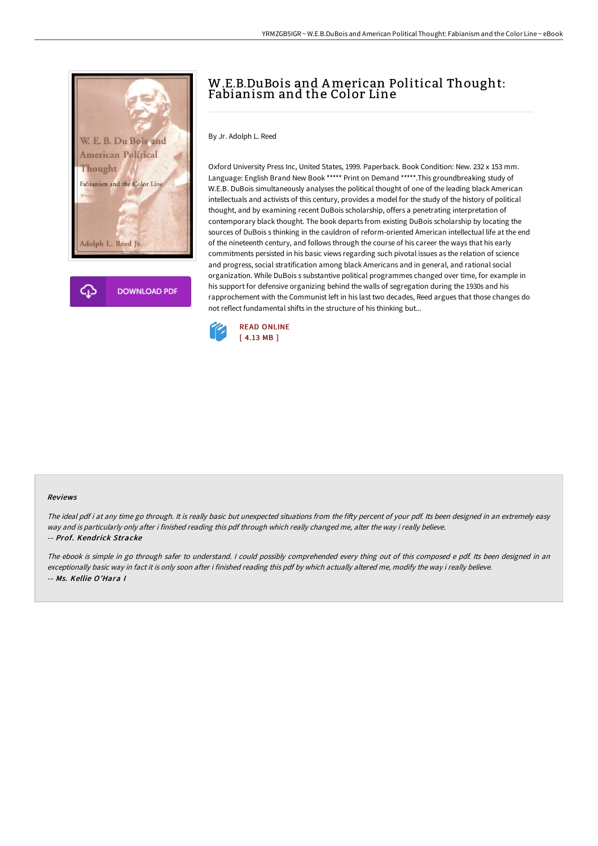

**DOWNLOAD PDF** 

## W.E.B.DuBois and American Political Thought: Fabianism and the Color Line

By Jr. Adolph L. Reed

Oxford University Press Inc, United States, 1999. Paperback. Book Condition: New. 232 x 153 mm. Language: English Brand New Book \*\*\*\*\* Print on Demand \*\*\*\*\*.This groundbreaking study of W.E.B. DuBois simultaneously analyses the political thought of one of the leading black American intellectuals and activists of this century, provides a model for the study of the history of political thought, and by examining recent DuBois scholarship, offers a penetrating interpretation of contemporary black thought. The book departs from existing DuBois scholarship by locating the sources of DuBois s thinking in the cauldron of reform-oriented American intellectual life at the end of the nineteenth century, and follows through the course of his career the ways that his early commitments persisted in his basic views regarding such pivotal issues as the relation of science and progress, social stratification among black Americans and in general, and rational social organization. While DuBois s substantive political programmes changed over time, for example in his support for defensive organizing behind the walls of segregation during the 1930s and his rapprochement with the Communist left in his last two decades, Reed argues that those changes do not reflect fundamental shifts in the structure of his thinking but...



## Reviews

The ideal pdf i at any time go through. It is really basic but unexpected situations from the fifty percent of your pdf. Its been designed in an extremely easy way and is particularly only after i finished reading this pdf through which really changed me, alter the way i really believe. -- Prof. Kendrick Stracke

The ebook is simple in go through safer to understand. <sup>I</sup> could possibly comprehended every thing out of this composed <sup>e</sup> pdf. Its been designed in an exceptionally basic way in fact it is only soon after i finished reading this pdf by which actually altered me, modify the way i really believe. -- Ms. Kellie O'Hara I